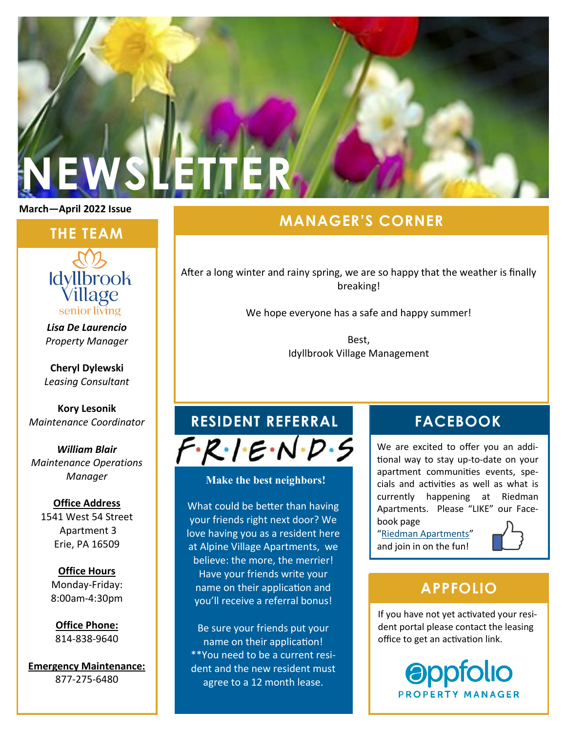# **NEWSLETTER**

**March—April 2022 Issue**

### **THE TEAM**



*Lisa De Laurencio Property Manager*

**Cheryl Dylewski** *Leasing Consultant*

**Kory Lesonik** *Maintenance Coordinator*

*William Blair Maintenance Operations Manager*

### **Office Address** 1541 West 54 Street Apartment 3 Erie, PA 16509

**Office Hours** Monday-Friday: 8:00am-4:30pm

**Office Phone:** 814-838-9640

**Emergency Maintenance:** 877-275-6480

# **MANAGER'S CORNER**

After a long winter and rainy spring, we are so happy that the weather is finally breaking!

We hope everyone has a safe and happy summer!

Best, Idyllbrook Village Management

# **RESIDENT REFERRAL FACEBOOK**

 $F \cdot R \cdot I \cdot E \cdot N \cdot D \cdot S$ 

### **Make the best neighbors!**

What could be better than having your friends right next door? We love having you as a resident here at Alpine Village Apartments, we believe: the more, the merrier! Have your friends write your name on their application and you'll receive a referral bonus!

Be sure your friends put your name on their application! \*\*You need to be a current resident and the new resident must agree to a 12 month lease.

We are excited to offer you an additional way to stay up-to-date on your apartment communities events, specials and activities as well as what is currently happening at Riedman Apartments. Please "LIKE" our Facebook page

"[Riedman Apartments](http://www.facebook.com/RiedmanApartments.com)" and join in on the fun!



# **APPFOLIO**

If you have not yet activated your resident portal please contact the leasing office to get an activation link.